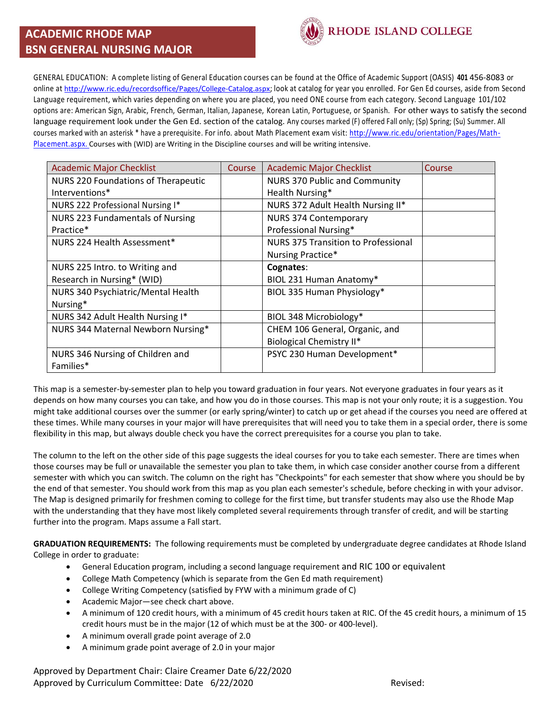## **ACADEMIC RHODE MAP BSN GENERAL NURSING MAJOR**



GENERAL EDUCATION: A complete listing of General Education courses can be found at the Office of Academic Support (OASIS) **401** 456-8083 or online at <http://www.ric.edu/recordsoffice/Pages/College-Catalog.aspx>; look at catalog for year you enrolled. For Gen Ed courses, aside from Second Language requirement, which varies depending on where you are placed, you need ONE course from each category. Second Language 101/102 options are: American Sign, Arabic, French, German, Italian, Japanese, Korean Latin, Portuguese, or Spanish. For other ways to satisfy the second language requirement look under the Gen Ed. section of the catalog. Any courses marked (F) offered Fall only; (Sp) Spring; (Su) Summer. All courses marked with an asterisk \* have a prerequisite. For info. about Math Placement exam visit: [http://www.ric.edu/orientation/Pages/Math-](http://www.ric.edu/orientation/Pages/Math-Placement.aspx)[Placement.aspx.](http://www.ric.edu/orientation/Pages/Math-Placement.aspx) Courses with (WID) are Writing in the Discipline courses and will be writing intensive.

| <b>Academic Major Checklist</b>     | Course | <b>Academic Major Checklist</b>      | Course |
|-------------------------------------|--------|--------------------------------------|--------|
| NURS 220 Foundations of Therapeutic |        | <b>NURS 370 Public and Community</b> |        |
| Interventions*                      |        | Health Nursing*                      |        |
| NURS 222 Professional Nursing I*    |        | NURS 372 Adult Health Nursing II*    |        |
| NURS 223 Fundamentals of Nursing    |        | <b>NURS 374 Contemporary</b>         |        |
| Practice*                           |        | Professional Nursing*                |        |
| NURS 224 Health Assessment*         |        | NURS 375 Transition to Professional  |        |
|                                     |        | Nursing Practice*                    |        |
| NURS 225 Intro. to Writing and      |        | Cognates:                            |        |
| Research in Nursing* (WID)          |        | BIOL 231 Human Anatomy*              |        |
| NURS 340 Psychiatric/Mental Health  |        | BIOL 335 Human Physiology*           |        |
| Nursing*                            |        |                                      |        |
| NURS 342 Adult Health Nursing I*    |        | BIOL 348 Microbiology*               |        |
| NURS 344 Maternal Newborn Nursing*  |        | CHEM 106 General, Organic, and       |        |
|                                     |        | <b>Biological Chemistry II*</b>      |        |
| NURS 346 Nursing of Children and    |        | PSYC 230 Human Development*          |        |
| Families*                           |        |                                      |        |

This map is a semester-by-semester plan to help you toward graduation in four years. Not everyone graduates in four years as it depends on how many courses you can take, and how you do in those courses. This map is not your only route; it is a suggestion. You might take additional courses over the summer (or early spring/winter) to catch up or get ahead if the courses you need are offered at these times. While many courses in your major will have prerequisites that will need you to take them in a special order, there is some flexibility in this map, but always double check you have the correct prerequisites for a course you plan to take.

The column to the left on the other side of this page suggests the ideal courses for you to take each semester. There are times when those courses may be full or unavailable the semester you plan to take them, in which case consider another course from a different semester with which you can switch. The column on the right has "Checkpoints" for each semester that show where you should be by the end of that semester. You should work from this map as you plan each semester's schedule, before checking in with your advisor. The Map is designed primarily for freshmen coming to college for the first time, but transfer students may also use the Rhode Map with the understanding that they have most likely completed several requirements through transfer of credit, and will be starting further into the program. Maps assume a Fall start.

**GRADUATION REQUIREMENTS:** The following requirements must be completed by undergraduate degree candidates at Rhode Island College in order to graduate:

- General Education program, including a second language requirement and RIC 100 or equivalent
- College Math Competency (which is separate from the Gen Ed math requirement)
- College Writing Competency (satisfied by FYW with a minimum grade of C)
- Academic Major—see check chart above.
- A minimum of 120 credit hours, with a minimum of 45 credit hours taken at RIC. Of the 45 credit hours, a minimum of 15 credit hours must be in the major (12 of which must be at the 300- or 400-level).
- A minimum overall grade point average of 2.0
- A minimum grade point average of 2.0 in your major

Approved by Department Chair: Claire Creamer Date 6/22/2020 Approved by Curriculum Committee: Date 6/22/2020 Committee: Date of 2010 Revised: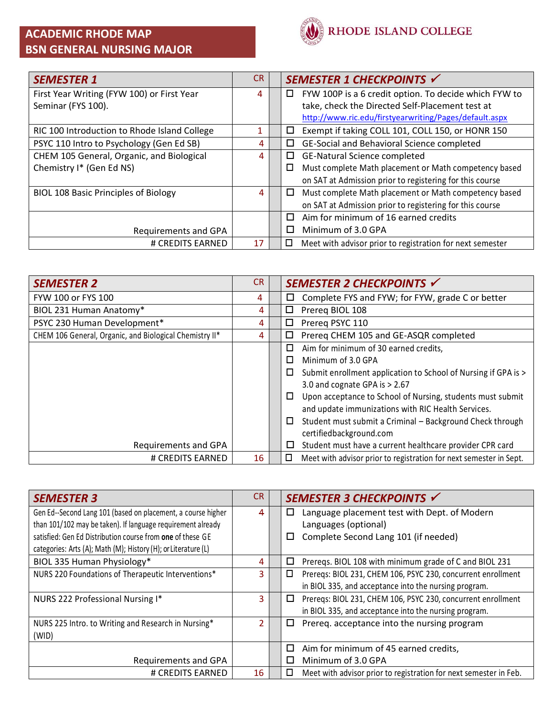## **ACADEMIC RHODE MAP BSN GENERAL NURSING MAJOR**



| <b>SEMESTER 1</b>                            | <b>CR</b> | SEMESTER 1 CHECKPOINTS √                                            |
|----------------------------------------------|-----------|---------------------------------------------------------------------|
| First Year Writing (FYW 100) or First Year   | 4         | FYW 100P is a 6 credit option. To decide which FYW to<br>□          |
| Seminar (FYS 100).                           |           | take, check the Directed Self-Placement test at                     |
|                                              |           | http://www.ric.edu/firstyearwriting/Pages/default.aspx              |
| RIC 100 Introduction to Rhode Island College | 1         | Exempt if taking COLL 101, COLL 150, or HONR 150<br>□               |
| PSYC 110 Intro to Psychology (Gen Ed SB)     | 4         | GE-Social and Behavioral Science completed<br>□                     |
| CHEM 105 General, Organic, and Biological    | 4         | GE-Natural Science completed<br>□                                   |
| Chemistry I* (Gen Ed NS)                     |           | Must complete Math placement or Math competency based<br>$\Box$     |
|                                              |           | on SAT at Admission prior to registering for this course            |
| <b>BIOL 108 Basic Principles of Biology</b>  | 4         | Must complete Math placement or Math competency based<br>□          |
|                                              |           | on SAT at Admission prior to registering for this course            |
|                                              |           | Aim for minimum of 16 earned credits<br>П                           |
| Requirements and GPA                         |           | Minimum of 3.0 GPA<br>П                                             |
| # CREDITS EARNED                             | 17        | Meet with advisor prior to registration for next semester<br>$\Box$ |

| <b>SEMESTER 2</b>                                       | <b>CR</b> | SEMESTER 2 CHECKPOINTS √                                                     |
|---------------------------------------------------------|-----------|------------------------------------------------------------------------------|
| FYW 100 or FYS 100                                      | 4         | Complete FYS and FYW; for FYW, grade C or better<br>□                        |
| BIOL 231 Human Anatomy*                                 | 4         | □<br>Prereg BIOL 108                                                         |
| PSYC 230 Human Development*                             | 4         | □<br>Prereg PSYC 110                                                         |
| CHEM 106 General, Organic, and Biological Chemistry II* | 4         | □<br>Prereq CHEM 105 and GE-ASQR completed                                   |
|                                                         |           | □<br>Aim for minimum of 30 earned credits,                                   |
|                                                         |           | Minimum of 3.0 GPA<br>$\Box$                                                 |
|                                                         |           | Submit enrollment application to School of Nursing if GPA is ><br>$\Box$     |
|                                                         |           | 3.0 and cognate GPA is $> 2.67$                                              |
|                                                         |           | Upon acceptance to School of Nursing, students must submit<br>□              |
|                                                         |           | and update immunizations with RIC Health Services.                           |
|                                                         |           | Student must submit a Criminal - Background Check through<br>□               |
|                                                         |           | certifiedbackground.com                                                      |
| Requirements and GPA                                    |           | Student must have a current healthcare provider CPR card<br>$\Box$           |
| # CREDITS EARNED                                        | 16        | $\Box$<br>Meet with advisor prior to registration for next semester in Sept. |

| <b>SEMESTER 3</b>                                              | CR.            | SEMESTER 3 CHECKPOINTS √                                               |
|----------------------------------------------------------------|----------------|------------------------------------------------------------------------|
| Gen Ed--Second Lang 101 (based on placement, a course higher   | 4              | Language placement test with Dept. of Modern<br>□                      |
| than 101/102 may be taken). If language requirement already    |                | Languages (optional)                                                   |
| satisfied: Gen Ed Distribution course from one of these GE     |                | Complete Second Lang 101 (if needed)<br>□                              |
| categories: Arts (A); Math (M); History (H); or Literature (L) |                |                                                                        |
| BIOL 335 Human Physiology*                                     | 4              | Preregs. BIOL 108 with minimum grade of C and BIOL 231<br>$\Box$       |
| NURS 220 Foundations of Therapeutic Interventions*             | 3.             | Prereqs: BIOL 231, CHEM 106, PSYC 230, concurrent enrollment<br>$\Box$ |
|                                                                |                | in BIOL 335, and acceptance into the nursing program.                  |
| NURS 222 Professional Nursing I*                               | 3              | Preregs: BIOL 231, CHEM 106, PSYC 230, concurrent enrollment<br>□      |
|                                                                |                | in BIOL 335, and acceptance into the nursing program.                  |
| NURS 225 Intro. to Writing and Research in Nursing*            | $\overline{2}$ | Prereq. acceptance into the nursing program<br>□                       |
| (WID)                                                          |                |                                                                        |
|                                                                |                | □<br>Aim for minimum of 45 earned credits,                             |
| Requirements and GPA                                           |                | Minimum of 3.0 GPA<br>П                                                |
| # CREDITS EARNED                                               | 16             | □<br>Meet with advisor prior to registration for next semester in Feb. |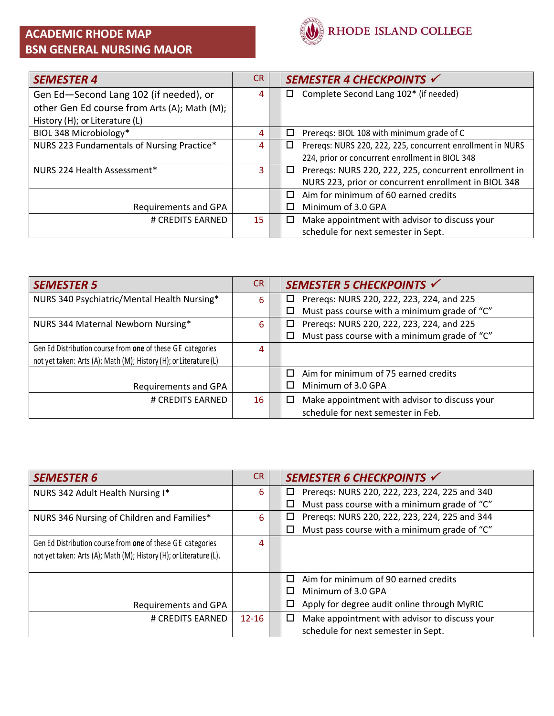## **ACADEMIC RHODE MAP BSN GENERAL NURSING MAJOR**



| <b>SEMESTER 4</b>                            | CR. | SEMESTER 4 CHECKPOINTS √                                        |
|----------------------------------------------|-----|-----------------------------------------------------------------|
| Gen Ed-Second Lang 102 (if needed), or       | 4   | Complete Second Lang 102* (if needed)<br>□                      |
| other Gen Ed course from Arts (A); Math (M); |     |                                                                 |
| History (H); or Literature (L)               |     |                                                                 |
| BIOL 348 Microbiology*                       | 4   | Prereqs: BIOL 108 with minimum grade of C<br>□                  |
| NURS 223 Fundamentals of Nursing Practice*   | 4   | Preregs: NURS 220, 222, 225, concurrent enrollment in NURS<br>□ |
|                                              |     | 224, prior or concurrent enrollment in BIOL 348                 |
| NURS 224 Health Assessment*                  | 3   | Preregs: NURS 220, 222, 225, concurrent enrollment in<br>□      |
|                                              |     | NURS 223, prior or concurrent enrollment in BIOL 348            |
|                                              |     | Aim for minimum of 60 earned credits<br>п                       |
| Requirements and GPA                         |     | Minimum of 3.0 GPA<br>П                                         |
| # CREDITS EARNED                             | 15  | Make appointment with advisor to discuss your<br>□              |
|                                              |     | schedule for next semester in Sept.                             |

| <b>SEMESTER 5</b>                                                 | <b>CR</b> | SEMESTER 5 CHECKPOINTS √                                |
|-------------------------------------------------------------------|-----------|---------------------------------------------------------|
| NURS 340 Psychiatric/Mental Health Nursing*                       | 6         | Prereqs: NURS 220, 222, 223, 224, and 225<br>□          |
|                                                                   |           | Must pass course with a minimum grade of "C"<br>$\Box$  |
| NURS 344 Maternal Newborn Nursing*                                | 6         | Prereqs: NURS 220, 222, 223, 224, and 225<br>□          |
|                                                                   |           | Must pass course with a minimum grade of "C"<br>$\Box$  |
| Gen Ed Distribution course from one of these GE categories        | 4         |                                                         |
| not yet taken: Arts (A); Math (M); History (H); or Literature (L) |           |                                                         |
|                                                                   |           | Aim for minimum of 75 earned credits<br>П               |
| Requirements and GPA                                              |           | Minimum of 3.0 GPA                                      |
| # CREDITS EARNED                                                  | 16        | Make appointment with advisor to discuss your<br>$\Box$ |
|                                                                   |           | schedule for next semester in Feb.                      |

| <b>SEMESTER 6</b>                                                  | CR.       | SEMESTER 6 CHECKPOINTS √                               |
|--------------------------------------------------------------------|-----------|--------------------------------------------------------|
| NURS 342 Adult Health Nursing I*                                   | 6.        | Preregs: NURS 220, 222, 223, 224, 225 and 340<br>□     |
|                                                                    |           | Must pass course with a minimum grade of "C"<br>$\Box$ |
| NURS 346 Nursing of Children and Families*                         | 6         | Prereqs: NURS 220, 222, 223, 224, 225 and 344<br>□     |
|                                                                    |           | Must pass course with a minimum grade of "C"<br>$\Box$ |
| Gen Ed Distribution course from one of these GE categories         | 4         |                                                        |
| not yet taken: Arts (A); Math (M); History (H); or Literature (L). |           |                                                        |
|                                                                    |           |                                                        |
|                                                                    |           | Aim for minimum of 90 earned credits<br>п              |
|                                                                    |           | Minimum of 3.0 GPA<br>П                                |
| Requirements and GPA                                               |           | Apply for degree audit online through MyRIC<br>$\Box$  |
| # CREDITS EARNED                                                   | $12 - 16$ | Make appointment with advisor to discuss your<br>□     |
|                                                                    |           | schedule for next semester in Sept.                    |